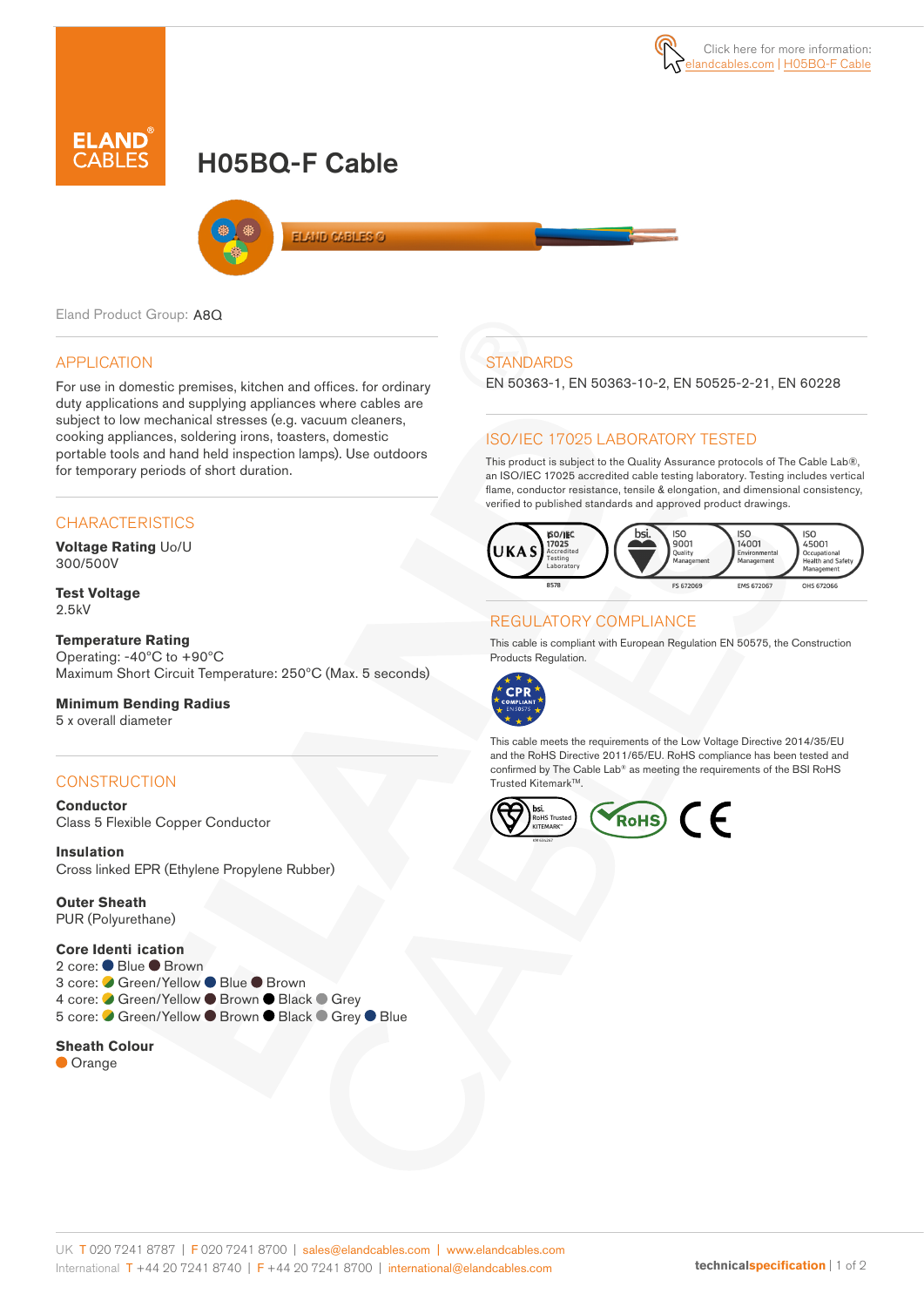# H05BQ-F Cable



Eland Product Group: A8Q

#### APPLICATION

For use in domestic premises, kitchen and offices. for ordinary duty applications and supplying appliances where cables are subject to low mechanical stresses (e.g. vacuum cleaners, cooking appliances, soldering irons, toasters, domestic portable tools and hand held inspection lamps). Use outdoors for temporary periods of short duration.

### **CHARACTERISTICS**

**Voltage Rating** Uo/U 300/500V

**Test Voltage** 2.5kV

#### **Temperature Rating**

Operating: -40ºC to +90ºC Maximum Short Circuit Temperature: 250ºC (Max. 5 seconds)

#### **Minimum Bending Radius**

5 x overall diameter

### **CONSTRUCTION**

**Conductor** Class 5 Flexible Copper Conductor

**Insulation** Cross linked EPR (Ethylene Propylene Rubber)

**Outer Sheath** PUR (Polyurethane)

#### **Core Identi ication**

2 core: ● Blue ● Brown 3 core: ● Green/Yellow ● Blue ● Brown 4 core: ● Green/Yellow ● Brown ● Black ● Grey 5 core: Ø Green/Yellow ● Brown ● Black ● Grey ● Blue

#### **Sheath Colour**

**Orange** 

# **STANDARDS**

EN 50363-1, EN 50363-10-2, EN 50525-2-21, EN 60228

#### ISO/IEC 17025 LABORATORY TESTED

This product is subject to the Quality Assurance protocols of The Cable Lab®, an ISO/IEC 17025 accredited cable testing laboratory. Testing includes vertical flame, conductor resistance, tensile & elongation, and dimensional consistency, verified to published standards and approved product drawings.



### REGULATORY COMPLIANCE

This cable is compliant with European Regulation EN 50575, the Construction Products Regulation.



This cable meets the requirements of the Low Voltage Directive 2014/35/EU and the RoHS Directive 2011/65/EU. RoHS compliance has been tested and confirmed by The Cable Lab® as meeting the requirements of the BSI RoHS Trusted Kitemark™.